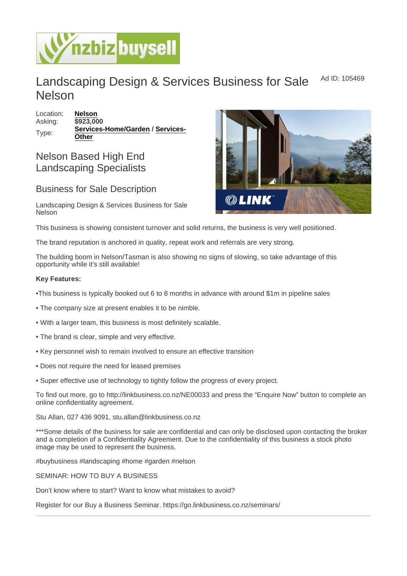## Landscaping Design & Services Business for Sale Nelson Ad ID: 105469

Location: [Nelson](https://www.nzbizbuysell.co.nz/businesses-for-sale/location/Nelson) Asking: \$923,000 Type: [Services-Home/Garden](https://www.nzbizbuysell.co.nz/businesses-for-sale/Services-Home--Garden/New-Zealand) / [Services-](https://www.nzbizbuysell.co.nz/businesses-for-sale/Services/New-Zealand)**[Other](https://www.nzbizbuysell.co.nz/businesses-for-sale/Services/New-Zealand)** 

## Nelson Based High End Landscaping Specialists

## Business for Sale Description

Landscaping Design & Services Business for Sale Nelson

This business is showing consistent turnover and solid returns, the business is very well positioned.

The brand reputation is anchored in quality, repeat work and referrals are very strong.

The building boom in Nelson/Tasman is also showing no signs of slowing, so take advantage of this opportunity while it's still available!

Key Features:

•This business is typically booked out 6 to 8 months in advance with around \$1m in pipeline sales

- The company size at present enables it to be nimble.
- With a larger team, this business is most definitely scalable.
- The brand is clear, simple and very effective.
- Key personnel wish to remain involved to ensure an effective transition
- Does not require the need for leased premises
- Super effective use of technology to tightly follow the progress of every project.

To find out more, go to http://linkbusiness.co.nz/NE00033 and press the "Enquire Now" button to complete an online confidentiality agreement.

Stu Allan, 027 436 9091, stu.allan@linkbusiness.co.nz

\*\*\*Some details of the business for sale are confidential and can only be disclosed upon contacting the broker and a completion of a Confidentiality Agreement. Due to the confidentiality of this business a stock photo image may be used to represent the business.

#buybusiness #landscaping #home #garden #nelson

SEMINAR: HOW TO BUY A BUSINESS

Don't know where to start? Want to know what mistakes to avoid?

Register for our Buy a Business Seminar. https://go.linkbusiness.co.nz/seminars/